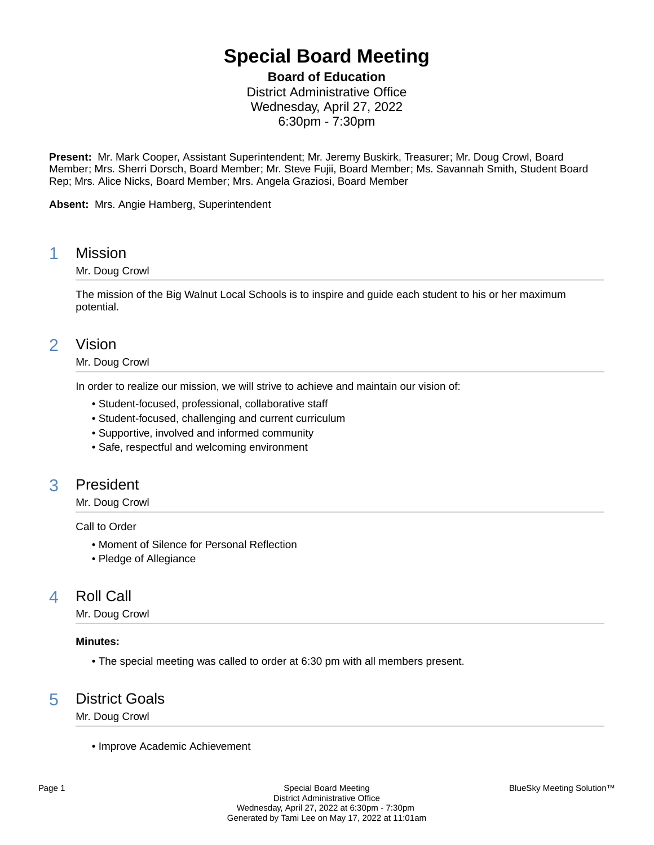# **Special Board Meeting**

**Board of Education**

District Administrative Office Wednesday, April 27, 2022 6:30pm - 7:30pm

**Present:** Mr. Mark Cooper, Assistant Superintendent; Mr. Jeremy Buskirk, Treasurer; Mr. Doug Crowl, Board Member; Mrs. Sherri Dorsch, Board Member; Mr. Steve Fujii, Board Member; Ms. Savannah Smith, Student Board Rep; Mrs. Alice Nicks, Board Member; Mrs. Angela Graziosi, Board Member

**Absent:** Mrs. Angie Hamberg, Superintendent

# 1 Mission

## Mr. Doug Crowl

The mission of the Big Walnut Local Schools is to inspire and guide each student to his or her maximum potential.

# 2 Vision

## Mr. Doug Crowl

In order to realize our mission, we will strive to achieve and maintain our vision of:

- Student-focused, professional, collaborative staff
- Student-focused, challenging and current curriculum
- Supportive, involved and informed community
- Safe, respectful and welcoming environment

# 3 President

## Mr. Doug Crowl

Call to Order

- Moment of Silence for Personal Reflection
- Pledge of Allegiance

# 4 Roll Call

Mr. Doug Crowl

## **Minutes:**

• The special meeting was called to order at 6:30 pm with all members present.

# 5 District Goals

Mr. Doug Crowl

• Improve Academic Achievement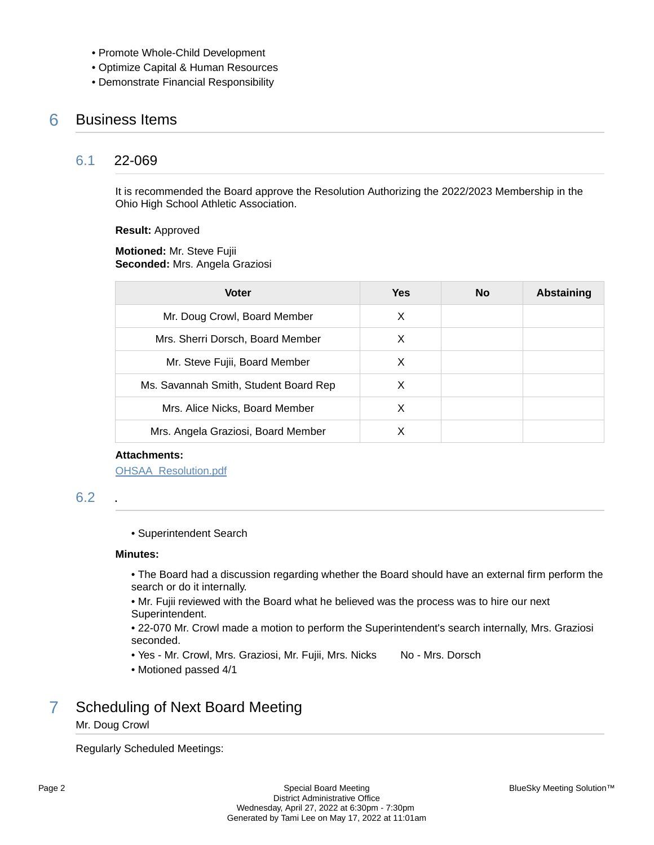- Promote Whole-Child Development
- Optimize Capital & Human Resources
- Demonstrate Financial Responsibility

# 6 Business Items

# 6.1 22-069

It is recommended the Board approve the Resolution Authorizing the 2022/2023 Membership in the Ohio High School Athletic Association.

**Result:** Approved

**Motioned:** Mr. Steve Fujii **Seconded:** Mrs. Angela Graziosi

| <b>Voter</b>                          | Yes | No | <b>Abstaining</b> |
|---------------------------------------|-----|----|-------------------|
| Mr. Doug Crowl, Board Member          | X   |    |                   |
| Mrs. Sherri Dorsch, Board Member      | X   |    |                   |
| Mr. Steve Fujii, Board Member         | X   |    |                   |
| Ms. Savannah Smith, Student Board Rep | X   |    |                   |
| Mrs. Alice Nicks, Board Member        | х   |    |                   |
| Mrs. Angela Graziosi, Board Member    | X   |    |                   |

#### **Attachments:**

[OHSAA\\_Resolution.pdf](https://bigwalnut.blueskymeeting.com/meeting_groups/274/item_attachments/66421)

# 6.2 .

• Superintendent Search

#### **Minutes:**

- The Board had a discussion regarding whether the Board should have an external firm perform the search or do it internally.
- Mr. Fujii reviewed with the Board what he believed was the process was to hire our next Superintendent.
- 22-070 Mr. Crowl made a motion to perform the Superintendent's search internally, Mrs. Graziosi seconded.
- Yes Mr. Crowl, Mrs. Graziosi, Mr. Fujii, Mrs. Nicks No Mrs. Dorsch
- Motioned passed 4/1

# 7 Scheduling of Next Board Meeting

## Mr. Doug Crowl

Regularly Scheduled Meetings: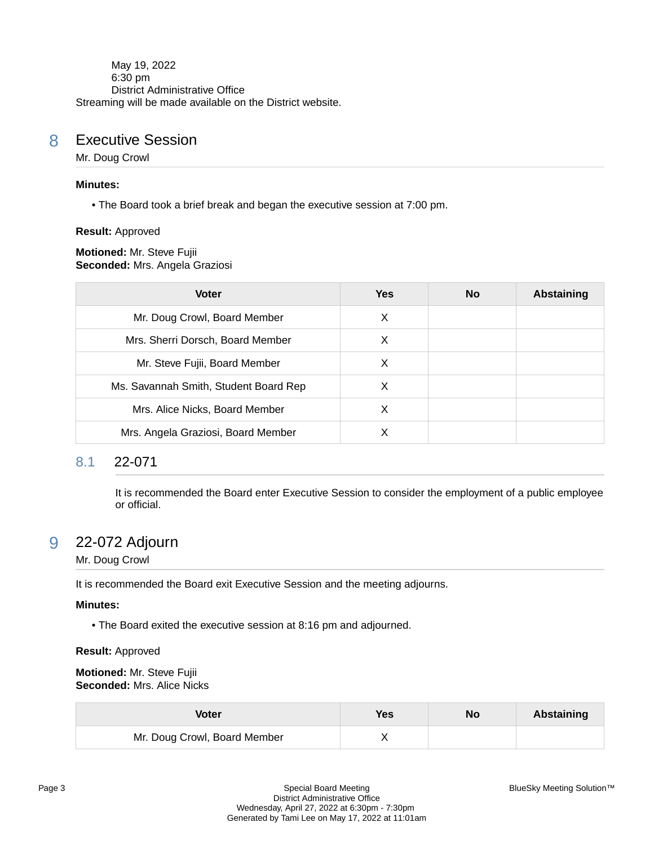May 19, 2022 6:30 pm District Administrative Office Streaming will be made available on the District website.

# 8 Executive Session

Mr. Doug Crowl

#### **Minutes:**

• The Board took a brief break and began the executive session at 7:00 pm.

**Result:** Approved

**Motioned:** Mr. Steve Fujii **Seconded:** Mrs. Angela Graziosi

| <b>Voter</b>                          | <b>Yes</b> | No. | <b>Abstaining</b> |
|---------------------------------------|------------|-----|-------------------|
| Mr. Doug Crowl, Board Member          | х          |     |                   |
| Mrs. Sherri Dorsch, Board Member      | X          |     |                   |
| Mr. Steve Fujii, Board Member         | X          |     |                   |
| Ms. Savannah Smith, Student Board Rep | X          |     |                   |
| Mrs. Alice Nicks, Board Member        | X          |     |                   |
| Mrs. Angela Graziosi, Board Member    | х          |     |                   |

# 8.1 22-071

It is recommended the Board enter Executive Session to consider the employment of a public employee or official.

# 9 22-072 Adjourn

## Mr. Doug Crowl

It is recommended the Board exit Executive Session and the meeting adjourns.

## **Minutes:**

• The Board exited the executive session at 8:16 pm and adjourned.

#### **Result:** Approved

#### **Motioned:** Mr. Steve Fujii **Seconded:** Mrs. Alice Nicks

| <b>Voter</b>                 | <b>Yes</b> | No | <b>Abstaining</b> |
|------------------------------|------------|----|-------------------|
| Mr. Doug Crowl, Board Member |            |    |                   |